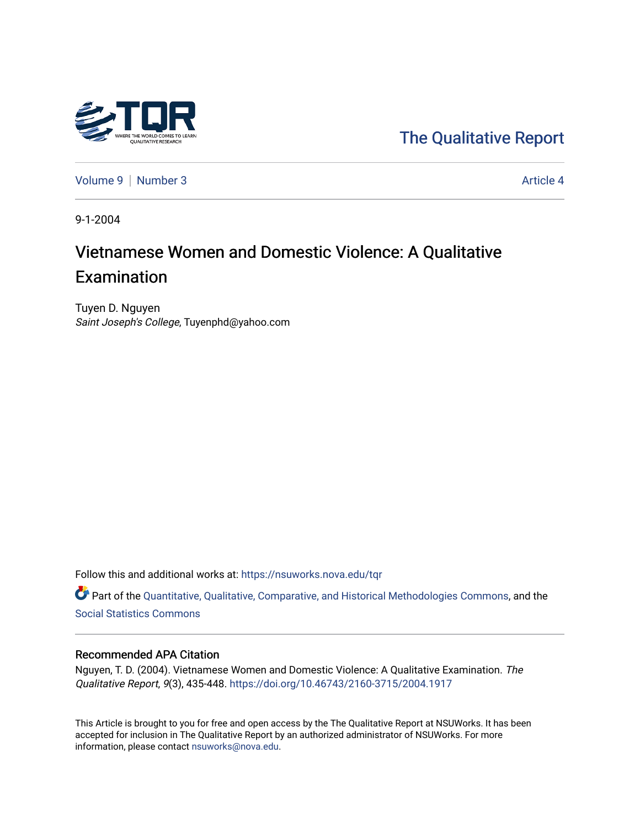

[The Qualitative Report](https://nsuworks.nova.edu/tqr) 

[Volume 9](https://nsuworks.nova.edu/tqr/vol9) | [Number 3](https://nsuworks.nova.edu/tqr/vol9/iss3) Article 4

9-1-2004

# Vietnamese Women and Domestic Violence: A Qualitative Examination

Tuyen D. Nguyen Saint Joseph's College, Tuyenphd@yahoo.com

Follow this and additional works at: [https://nsuworks.nova.edu/tqr](https://nsuworks.nova.edu/tqr?utm_source=nsuworks.nova.edu%2Ftqr%2Fvol9%2Fiss3%2F4&utm_medium=PDF&utm_campaign=PDFCoverPages) 

Part of the [Quantitative, Qualitative, Comparative, and Historical Methodologies Commons,](http://network.bepress.com/hgg/discipline/423?utm_source=nsuworks.nova.edu%2Ftqr%2Fvol9%2Fiss3%2F4&utm_medium=PDF&utm_campaign=PDFCoverPages) and the [Social Statistics Commons](http://network.bepress.com/hgg/discipline/1275?utm_source=nsuworks.nova.edu%2Ftqr%2Fvol9%2Fiss3%2F4&utm_medium=PDF&utm_campaign=PDFCoverPages) 

# Recommended APA Citation

Nguyen, T. D. (2004). Vietnamese Women and Domestic Violence: A Qualitative Examination. The Qualitative Report, 9(3), 435-448. <https://doi.org/10.46743/2160-3715/2004.1917>

This Article is brought to you for free and open access by the The Qualitative Report at NSUWorks. It has been accepted for inclusion in The Qualitative Report by an authorized administrator of NSUWorks. For more information, please contact [nsuworks@nova.edu.](mailto:nsuworks@nova.edu)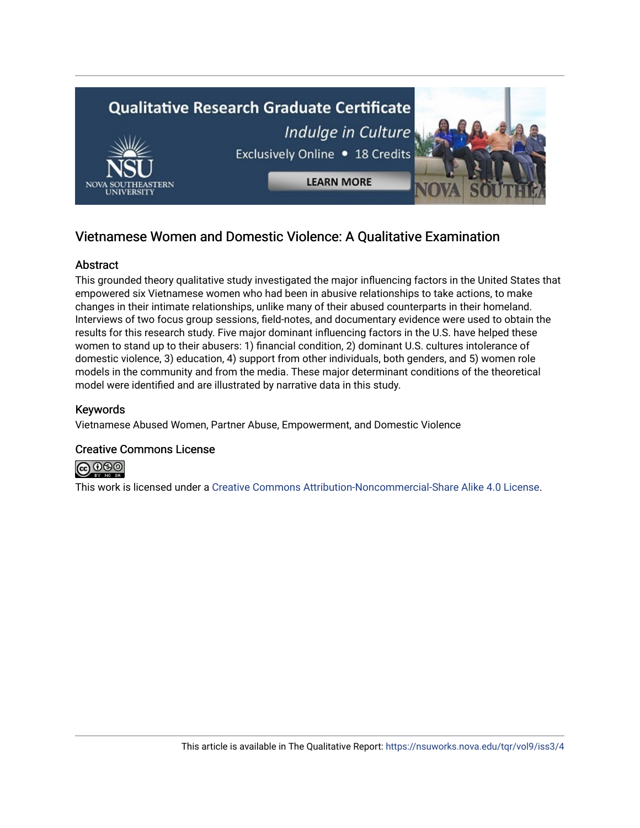

# Vietnamese Women and Domestic Violence: A Qualitative Examination

# **Abstract**

This grounded theory qualitative study investigated the major influencing factors in the United States that empowered six Vietnamese women who had been in abusive relationships to take actions, to make changes in their intimate relationships, unlike many of their abused counterparts in their homeland. Interviews of two focus group sessions, field-notes, and documentary evidence were used to obtain the results for this research study. Five major dominant influencing factors in the U.S. have helped these women to stand up to their abusers: 1) financial condition, 2) dominant U.S. cultures intolerance of domestic violence, 3) education, 4) support from other individuals, both genders, and 5) women role models in the community and from the media. These major determinant conditions of the theoretical model were identified and are illustrated by narrative data in this study.

# Keywords

Vietnamese Abused Women, Partner Abuse, Empowerment, and Domestic Violence

# Creative Commons License



This work is licensed under a [Creative Commons Attribution-Noncommercial-Share Alike 4.0 License](https://creativecommons.org/licenses/by-nc-sa/4.0/).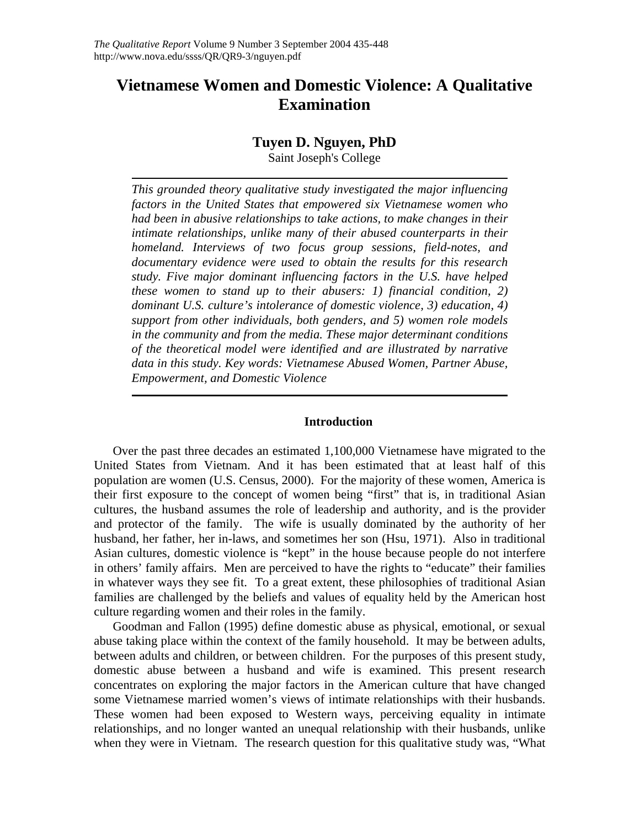# **Vietnamese Women and Domestic Violence: A Qualitative Examination**

# **Tuyen D. Nguyen, PhD**

Saint Joseph's College

*This grounded theory qualitative study investigated the major influencing factors in the United States that empowered six Vietnamese women who had been in abusive relationships to take actions, to make changes in their intimate relationships, unlike many of their abused counterparts in their homeland. Interviews of two focus group sessions, field-notes, and documentary evidence were used to obtain the results for this research study. Five major dominant influencing factors in the U.S. have helped these women to stand up to their abusers: 1) financial condition, 2) dominant U.S. culture's intolerance of domestic violence, 3) education, 4) support from other individuals, both genders, and 5) women role models in the community and from the media. These major determinant conditions of the theoretical model were identified and are illustrated by narrative data in this study. Key words: Vietnamese Abused Women, Partner Abuse, Empowerment, and Domestic Violence* 

# **Introduction**

Over the past three decades an estimated 1,100,000 Vietnamese have migrated to the United States from Vietnam. And it has been estimated that at least half of this population are women (U.S. Census, 2000). For the majority of these women, America is their first exposure to the concept of women being "first" that is, in traditional Asian cultures, the husband assumes the role of leadership and authority, and is the provider and protector of the family. The wife is usually dominated by the authority of her husband, her father, her in-laws, and sometimes her son (Hsu, 1971). Also in traditional Asian cultures, domestic violence is "kept" in the house because people do not interfere in others' family affairs. Men are perceived to have the rights to "educate" their families in whatever ways they see fit. To a great extent, these philosophies of traditional Asian families are challenged by the beliefs and values of equality held by the American host culture regarding women and their roles in the family.

 Goodman and Fallon (1995) define domestic abuse as physical, emotional, or sexual abuse taking place within the context of the family household. It may be between adults, between adults and children, or between children. For the purposes of this present study, domestic abuse between a husband and wife is examined. This present research concentrates on exploring the major factors in the American culture that have changed some Vietnamese married women's views of intimate relationships with their husbands. These women had been exposed to Western ways, perceiving equality in intimate relationships, and no longer wanted an unequal relationship with their husbands, unlike when they were in Vietnam. The research question for this qualitative study was, "What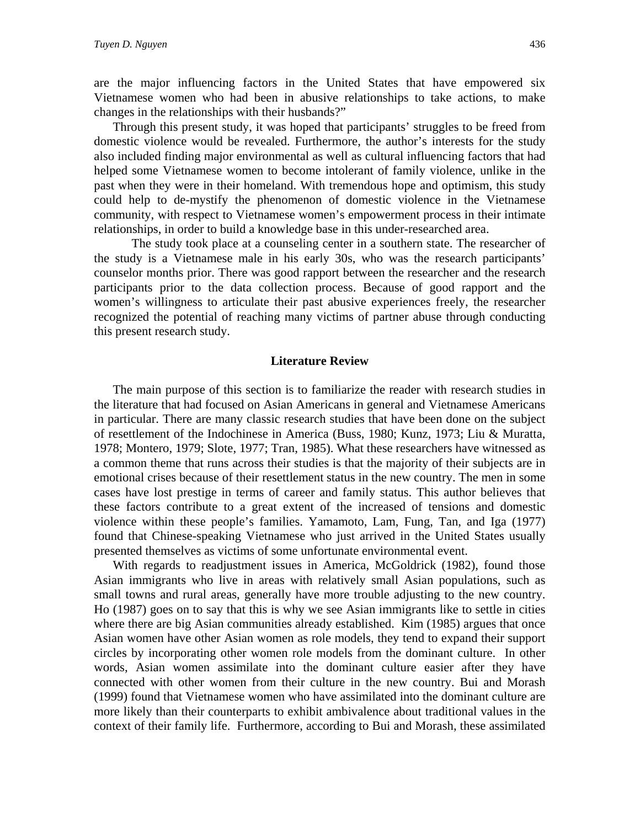are the major influencing factors in the United States that have empowered six Vietnamese women who had been in abusive relationships to take actions, to make changes in the relationships with their husbands?"

 Through this present study, it was hoped that participants' struggles to be freed from domestic violence would be revealed. Furthermore, the author's interests for the study also included finding major environmental as well as cultural influencing factors that had helped some Vietnamese women to become intolerant of family violence, unlike in the past when they were in their homeland. With tremendous hope and optimism, this study could help to de-mystify the phenomenon of domestic violence in the Vietnamese community, with respect to Vietnamese women's empowerment process in their intimate relationships, in order to build a knowledge base in this under-researched area.

The study took place at a counseling center in a southern state. The researcher of the study is a Vietnamese male in his early 30s, who was the research participants' counselor months prior. There was good rapport between the researcher and the research participants prior to the data collection process. Because of good rapport and the women's willingness to articulate their past abusive experiences freely, the researcher recognized the potential of reaching many victims of partner abuse through conducting this present research study.

#### **Literature Review**

 The main purpose of this section is to familiarize the reader with research studies in the literature that had focused on Asian Americans in general and Vietnamese Americans in particular. There are many classic research studies that have been done on the subject of resettlement of the Indochinese in America (Buss, 1980; Kunz, 1973; Liu & Muratta, 1978; Montero, 1979; Slote, 1977; Tran, 1985). What these researchers have witnessed as a common theme that runs across their studies is that the majority of their subjects are in emotional crises because of their resettlement status in the new country. The men in some cases have lost prestige in terms of career and family status. This author believes that these factors contribute to a great extent of the increased of tensions and domestic violence within these people's families. Yamamoto, Lam, Fung, Tan, and Iga (1977) found that Chinese-speaking Vietnamese who just arrived in the United States usually presented themselves as victims of some unfortunate environmental event.

 With regards to readjustment issues in America, McGoldrick (1982), found those Asian immigrants who live in areas with relatively small Asian populations, such as small towns and rural areas, generally have more trouble adjusting to the new country. Ho (1987) goes on to say that this is why we see Asian immigrants like to settle in cities where there are big Asian communities already established. Kim (1985) argues that once Asian women have other Asian women as role models, they tend to expand their support circles by incorporating other women role models from the dominant culture. In other words, Asian women assimilate into the dominant culture easier after they have connected with other women from their culture in the new country. Bui and Morash (1999) found that Vietnamese women who have assimilated into the dominant culture are more likely than their counterparts to exhibit ambivalence about traditional values in the context of their family life. Furthermore, according to Bui and Morash, these assimilated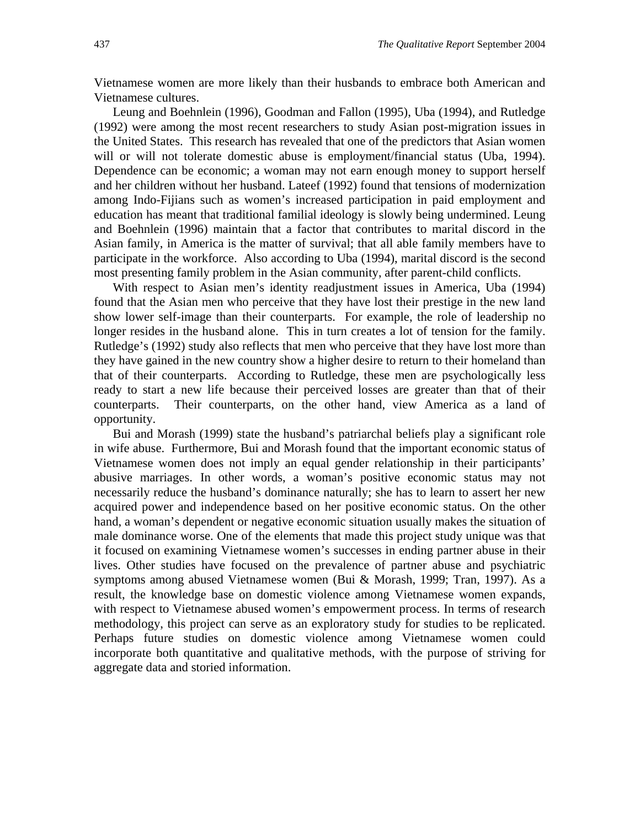Vietnamese women are more likely than their husbands to embrace both American and Vietnamese cultures.

 Leung and Boehnlein (1996), Goodman and Fallon (1995), Uba (1994), and Rutledge (1992) were among the most recent researchers to study Asian post-migration issues in the United States. This research has revealed that one of the predictors that Asian women will or will not tolerate domestic abuse is employment/financial status (Uba, 1994). Dependence can be economic; a woman may not earn enough money to support herself and her children without her husband. Lateef (1992) found that tensions of modernization among Indo-Fijians such as women's increased participation in paid employment and education has meant that traditional familial ideology is slowly being undermined. Leung and Boehnlein (1996) maintain that a factor that contributes to marital discord in the Asian family, in America is the matter of survival; that all able family members have to participate in the workforce. Also according to Uba (1994), marital discord is the second most presenting family problem in the Asian community, after parent-child conflicts.

 With respect to Asian men's identity readjustment issues in America, Uba (1994) found that the Asian men who perceive that they have lost their prestige in the new land show lower self-image than their counterparts. For example, the role of leadership no longer resides in the husband alone. This in turn creates a lot of tension for the family. Rutledge's (1992) study also reflects that men who perceive that they have lost more than they have gained in the new country show a higher desire to return to their homeland than that of their counterparts. According to Rutledge, these men are psychologically less ready to start a new life because their perceived losses are greater than that of their counterparts. Their counterparts, on the other hand, view America as a land of opportunity.

 Bui and Morash (1999) state the husband's patriarchal beliefs play a significant role in wife abuse. Furthermore, Bui and Morash found that the important economic status of Vietnamese women does not imply an equal gender relationship in their participants' abusive marriages. In other words, a woman's positive economic status may not necessarily reduce the husband's dominance naturally; she has to learn to assert her new acquired power and independence based on her positive economic status. On the other hand, a woman's dependent or negative economic situation usually makes the situation of male dominance worse. One of the elements that made this project study unique was that it focused on examining Vietnamese women's successes in ending partner abuse in their lives. Other studies have focused on the prevalence of partner abuse and psychiatric symptoms among abused Vietnamese women (Bui & Morash, 1999; Tran, 1997). As a result, the knowledge base on domestic violence among Vietnamese women expands, with respect to Vietnamese abused women's empowerment process. In terms of research methodology, this project can serve as an exploratory study for studies to be replicated. Perhaps future studies on domestic violence among Vietnamese women could incorporate both quantitative and qualitative methods, with the purpose of striving for aggregate data and storied information.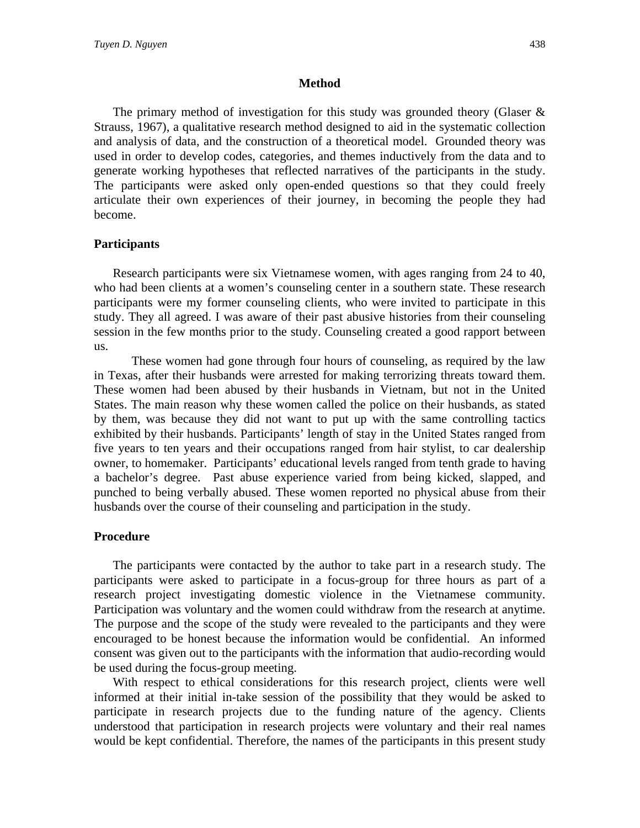#### **Method**

The primary method of investigation for this study was grounded theory (Glaser  $\&$ Strauss, 1967), a qualitative research method designed to aid in the systematic collection and analysis of data, and the construction of a theoretical model. Grounded theory was used in order to develop codes, categories, and themes inductively from the data and to generate working hypotheses that reflected narratives of the participants in the study. The participants were asked only open-ended questions so that they could freely articulate their own experiences of their journey, in becoming the people they had become.

# **Participants**

 Research participants were six Vietnamese women, with ages ranging from 24 to 40, who had been clients at a women's counseling center in a southern state. These research participants were my former counseling clients, who were invited to participate in this study. They all agreed. I was aware of their past abusive histories from their counseling session in the few months prior to the study. Counseling created a good rapport between us.

These women had gone through four hours of counseling, as required by the law in Texas, after their husbands were arrested for making terrorizing threats toward them. These women had been abused by their husbands in Vietnam, but not in the United States. The main reason why these women called the police on their husbands, as stated by them, was because they did not want to put up with the same controlling tactics exhibited by their husbands. Participants' length of stay in the United States ranged from five years to ten years and their occupations ranged from hair stylist, to car dealership owner, to homemaker. Participants' educational levels ranged from tenth grade to having a bachelor's degree. Past abuse experience varied from being kicked, slapped, and punched to being verbally abused. These women reported no physical abuse from their husbands over the course of their counseling and participation in the study.

#### **Procedure**

 The participants were contacted by the author to take part in a research study. The participants were asked to participate in a focus-group for three hours as part of a research project investigating domestic violence in the Vietnamese community. Participation was voluntary and the women could withdraw from the research at anytime. The purpose and the scope of the study were revealed to the participants and they were encouraged to be honest because the information would be confidential. An informed consent was given out to the participants with the information that audio-recording would be used during the focus-group meeting.

 With respect to ethical considerations for this research project, clients were well informed at their initial in-take session of the possibility that they would be asked to participate in research projects due to the funding nature of the agency. Clients understood that participation in research projects were voluntary and their real names would be kept confidential. Therefore, the names of the participants in this present study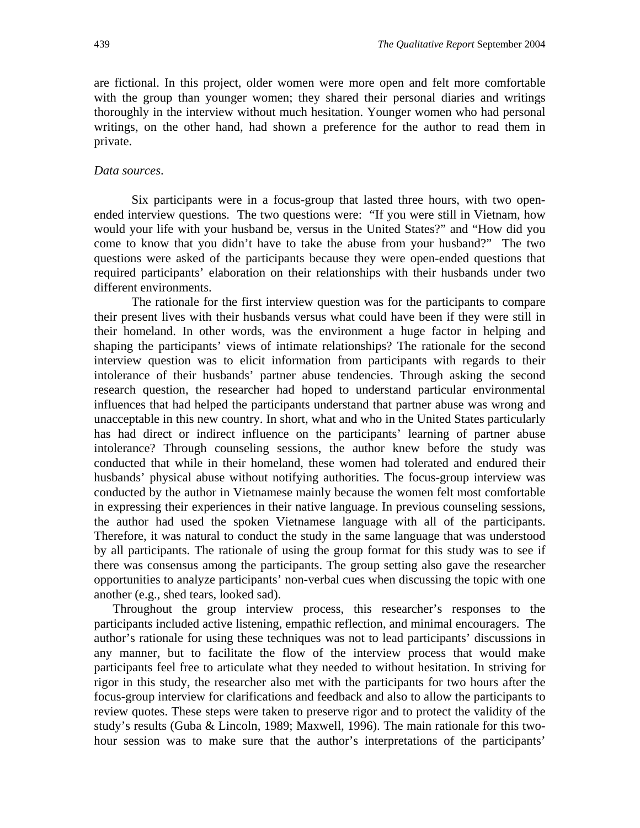are fictional. In this project, older women were more open and felt more comfortable with the group than younger women; they shared their personal diaries and writings thoroughly in the interview without much hesitation. Younger women who had personal writings, on the other hand, had shown a preference for the author to read them in private.

#### *Data sources*.

Six participants were in a focus-group that lasted three hours, with two openended interview questions. The two questions were: "If you were still in Vietnam, how would your life with your husband be, versus in the United States?" and "How did you come to know that you didn't have to take the abuse from your husband?" The two questions were asked of the participants because they were open-ended questions that required participants' elaboration on their relationships with their husbands under two different environments.

The rationale for the first interview question was for the participants to compare their present lives with their husbands versus what could have been if they were still in their homeland. In other words, was the environment a huge factor in helping and shaping the participants' views of intimate relationships? The rationale for the second interview question was to elicit information from participants with regards to their intolerance of their husbands' partner abuse tendencies. Through asking the second research question, the researcher had hoped to understand particular environmental influences that had helped the participants understand that partner abuse was wrong and unacceptable in this new country. In short, what and who in the United States particularly has had direct or indirect influence on the participants' learning of partner abuse intolerance? Through counseling sessions, the author knew before the study was conducted that while in their homeland, these women had tolerated and endured their husbands' physical abuse without notifying authorities. The focus-group interview was conducted by the author in Vietnamese mainly because the women felt most comfortable in expressing their experiences in their native language. In previous counseling sessions, the author had used the spoken Vietnamese language with all of the participants. Therefore, it was natural to conduct the study in the same language that was understood by all participants. The rationale of using the group format for this study was to see if there was consensus among the participants. The group setting also gave the researcher opportunities to analyze participants' non-verbal cues when discussing the topic with one another (e.g., shed tears, looked sad).

 Throughout the group interview process, this researcher's responses to the participants included active listening, empathic reflection, and minimal encouragers. The author's rationale for using these techniques was not to lead participants' discussions in any manner, but to facilitate the flow of the interview process that would make participants feel free to articulate what they needed to without hesitation. In striving for rigor in this study, the researcher also met with the participants for two hours after the focus-group interview for clarifications and feedback and also to allow the participants to review quotes. These steps were taken to preserve rigor and to protect the validity of the study's results (Guba & Lincoln, 1989; Maxwell, 1996). The main rationale for this twohour session was to make sure that the author's interpretations of the participants'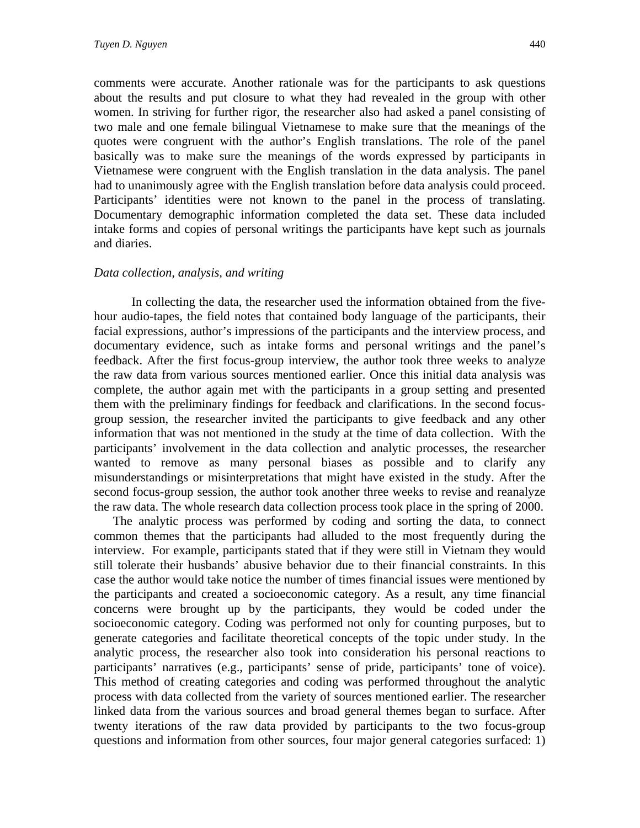comments were accurate. Another rationale was for the participants to ask questions about the results and put closure to what they had revealed in the group with other women. In striving for further rigor, the researcher also had asked a panel consisting of two male and one female bilingual Vietnamese to make sure that the meanings of the quotes were congruent with the author's English translations. The role of the panel basically was to make sure the meanings of the words expressed by participants in Vietnamese were congruent with the English translation in the data analysis. The panel had to unanimously agree with the English translation before data analysis could proceed. Participants' identities were not known to the panel in the process of translating. Documentary demographic information completed the data set. These data included intake forms and copies of personal writings the participants have kept such as journals and diaries.

#### *Data collection, analysis, and writing*

In collecting the data, the researcher used the information obtained from the fivehour audio-tapes, the field notes that contained body language of the participants, their facial expressions, author's impressions of the participants and the interview process, and documentary evidence, such as intake forms and personal writings and the panel's feedback. After the first focus-group interview, the author took three weeks to analyze the raw data from various sources mentioned earlier. Once this initial data analysis was complete, the author again met with the participants in a group setting and presented them with the preliminary findings for feedback and clarifications. In the second focusgroup session, the researcher invited the participants to give feedback and any other information that was not mentioned in the study at the time of data collection. With the participants' involvement in the data collection and analytic processes, the researcher wanted to remove as many personal biases as possible and to clarify any misunderstandings or misinterpretations that might have existed in the study. After the second focus-group session, the author took another three weeks to revise and reanalyze the raw data. The whole research data collection process took place in the spring of 2000.

 The analytic process was performed by coding and sorting the data, to connect common themes that the participants had alluded to the most frequently during the interview. For example, participants stated that if they were still in Vietnam they would still tolerate their husbands' abusive behavior due to their financial constraints. In this case the author would take notice the number of times financial issues were mentioned by the participants and created a socioeconomic category. As a result, any time financial concerns were brought up by the participants, they would be coded under the socioeconomic category. Coding was performed not only for counting purposes, but to generate categories and facilitate theoretical concepts of the topic under study. In the analytic process, the researcher also took into consideration his personal reactions to participants' narratives (e.g., participants' sense of pride, participants' tone of voice). This method of creating categories and coding was performed throughout the analytic process with data collected from the variety of sources mentioned earlier. The researcher linked data from the various sources and broad general themes began to surface. After twenty iterations of the raw data provided by participants to the two focus-group questions and information from other sources, four major general categories surfaced: 1)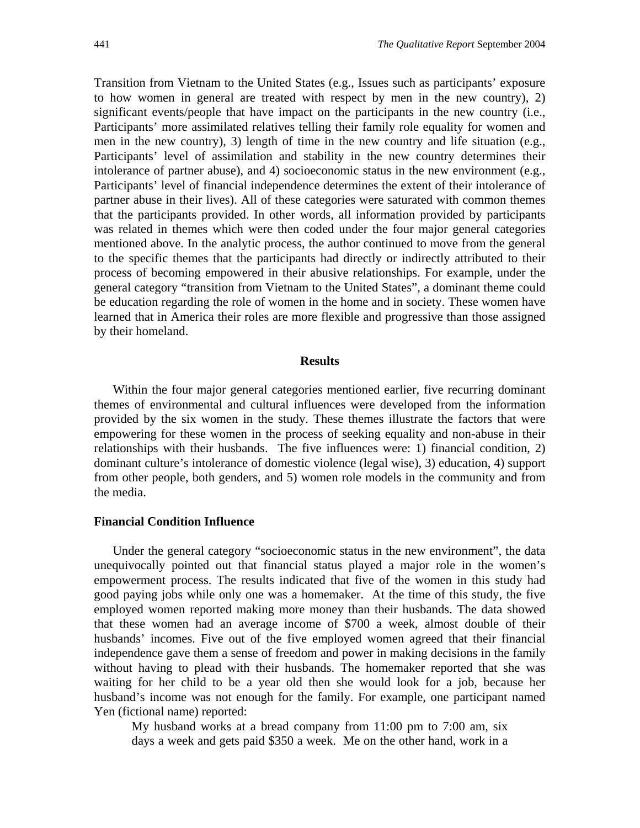Transition from Vietnam to the United States (e.g., Issues such as participants' exposure to how women in general are treated with respect by men in the new country), 2) significant events/people that have impact on the participants in the new country (i.e., Participants' more assimilated relatives telling their family role equality for women and men in the new country), 3) length of time in the new country and life situation (e.g., Participants' level of assimilation and stability in the new country determines their intolerance of partner abuse), and 4) socioeconomic status in the new environment (e.g., Participants' level of financial independence determines the extent of their intolerance of partner abuse in their lives). All of these categories were saturated with common themes that the participants provided. In other words, all information provided by participants was related in themes which were then coded under the four major general categories mentioned above. In the analytic process, the author continued to move from the general to the specific themes that the participants had directly or indirectly attributed to their process of becoming empowered in their abusive relationships. For example, under the general category "transition from Vietnam to the United States", a dominant theme could be education regarding the role of women in the home and in society. These women have learned that in America their roles are more flexible and progressive than those assigned by their homeland.

#### **Results**

 Within the four major general categories mentioned earlier, five recurring dominant themes of environmental and cultural influences were developed from the information provided by the six women in the study. These themes illustrate the factors that were empowering for these women in the process of seeking equality and non-abuse in their relationships with their husbands. The five influences were: 1) financial condition, 2) dominant culture's intolerance of domestic violence (legal wise), 3) education, 4) support from other people, both genders, and 5) women role models in the community and from the media.

#### **Financial Condition Influence**

 Under the general category "socioeconomic status in the new environment", the data unequivocally pointed out that financial status played a major role in the women's empowerment process. The results indicated that five of the women in this study had good paying jobs while only one was a homemaker. At the time of this study, the five employed women reported making more money than their husbands. The data showed that these women had an average income of \$700 a week, almost double of their husbands' incomes. Five out of the five employed women agreed that their financial independence gave them a sense of freedom and power in making decisions in the family without having to plead with their husbands. The homemaker reported that she was waiting for her child to be a year old then she would look for a job, because her husband's income was not enough for the family. For example, one participant named Yen (fictional name) reported:

My husband works at a bread company from 11:00 pm to 7:00 am, six days a week and gets paid \$350 a week. Me on the other hand, work in a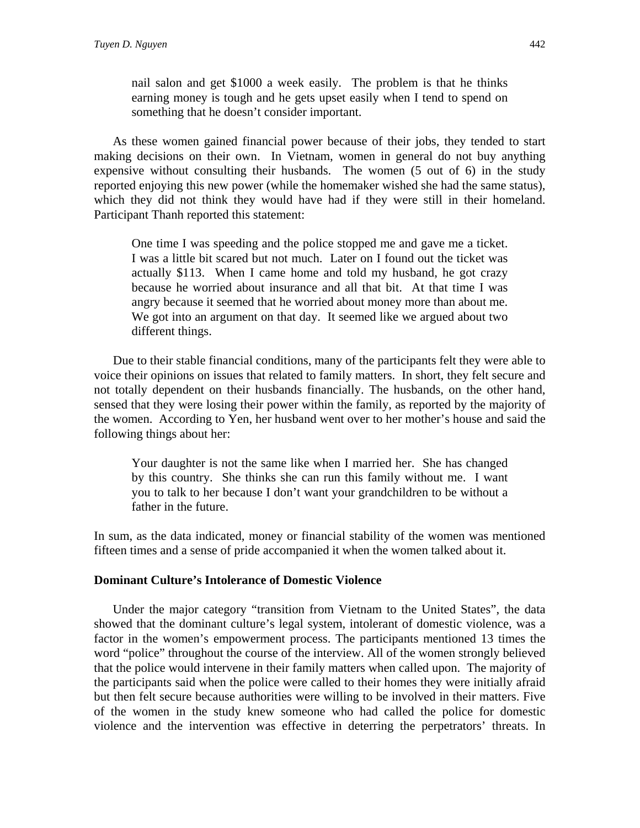nail salon and get \$1000 a week easily. The problem is that he thinks earning money is tough and he gets upset easily when I tend to spend on something that he doesn't consider important.

 As these women gained financial power because of their jobs, they tended to start making decisions on their own. In Vietnam, women in general do not buy anything expensive without consulting their husbands. The women (5 out of 6) in the study reported enjoying this new power (while the homemaker wished she had the same status), which they did not think they would have had if they were still in their homeland. Participant Thanh reported this statement:

One time I was speeding and the police stopped me and gave me a ticket. I was a little bit scared but not much. Later on I found out the ticket was actually \$113. When I came home and told my husband, he got crazy because he worried about insurance and all that bit. At that time I was angry because it seemed that he worried about money more than about me. We got into an argument on that day. It seemed like we argued about two different things.

 Due to their stable financial conditions, many of the participants felt they were able to voice their opinions on issues that related to family matters. In short, they felt secure and not totally dependent on their husbands financially. The husbands, on the other hand, sensed that they were losing their power within the family, as reported by the majority of the women. According to Yen, her husband went over to her mother's house and said the following things about her:

Your daughter is not the same like when I married her. She has changed by this country. She thinks she can run this family without me. I want you to talk to her because I don't want your grandchildren to be without a father in the future.

In sum, as the data indicated, money or financial stability of the women was mentioned fifteen times and a sense of pride accompanied it when the women talked about it.

# **Dominant Culture's Intolerance of Domestic Violence**

 Under the major category "transition from Vietnam to the United States", the data showed that the dominant culture's legal system, intolerant of domestic violence, was a factor in the women's empowerment process. The participants mentioned 13 times the word "police" throughout the course of the interview. All of the women strongly believed that the police would intervene in their family matters when called upon. The majority of the participants said when the police were called to their homes they were initially afraid but then felt secure because authorities were willing to be involved in their matters. Five of the women in the study knew someone who had called the police for domestic violence and the intervention was effective in deterring the perpetrators' threats. In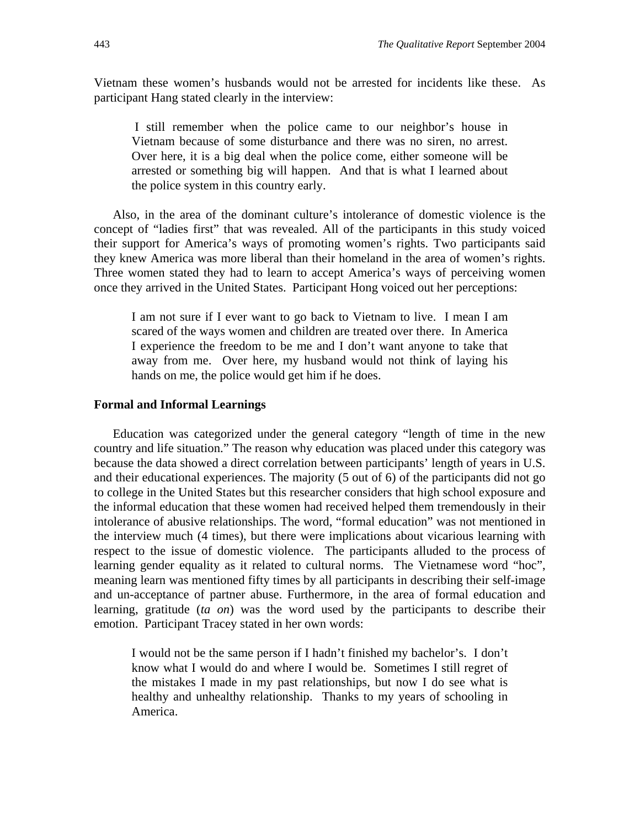Vietnam these women's husbands would not be arrested for incidents like these. As participant Hang stated clearly in the interview:

 I still remember when the police came to our neighbor's house in Vietnam because of some disturbance and there was no siren, no arrest. Over here, it is a big deal when the police come, either someone will be arrested or something big will happen. And that is what I learned about the police system in this country early.

 Also, in the area of the dominant culture's intolerance of domestic violence is the concept of "ladies first" that was revealed. All of the participants in this study voiced their support for America's ways of promoting women's rights. Two participants said they knew America was more liberal than their homeland in the area of women's rights. Three women stated they had to learn to accept America's ways of perceiving women once they arrived in the United States. Participant Hong voiced out her perceptions:

I am not sure if I ever want to go back to Vietnam to live. I mean I am scared of the ways women and children are treated over there. In America I experience the freedom to be me and I don't want anyone to take that away from me. Over here, my husband would not think of laying his hands on me, the police would get him if he does.

# **Formal and Informal Learnings**

 Education was categorized under the general category "length of time in the new country and life situation." The reason why education was placed under this category was because the data showed a direct correlation between participants' length of years in U.S. and their educational experiences. The majority (5 out of 6) of the participants did not go to college in the United States but this researcher considers that high school exposure and the informal education that these women had received helped them tremendously in their intolerance of abusive relationships. The word, "formal education" was not mentioned in the interview much (4 times), but there were implications about vicarious learning with respect to the issue of domestic violence. The participants alluded to the process of learning gender equality as it related to cultural norms. The Vietnamese word "hoc", meaning learn was mentioned fifty times by all participants in describing their self-image and un-acceptance of partner abuse. Furthermore, in the area of formal education and learning, gratitude (*ta on*) was the word used by the participants to describe their emotion. Participant Tracey stated in her own words:

I would not be the same person if I hadn't finished my bachelor's. I don't know what I would do and where I would be. Sometimes I still regret of the mistakes I made in my past relationships, but now I do see what is healthy and unhealthy relationship. Thanks to my years of schooling in America.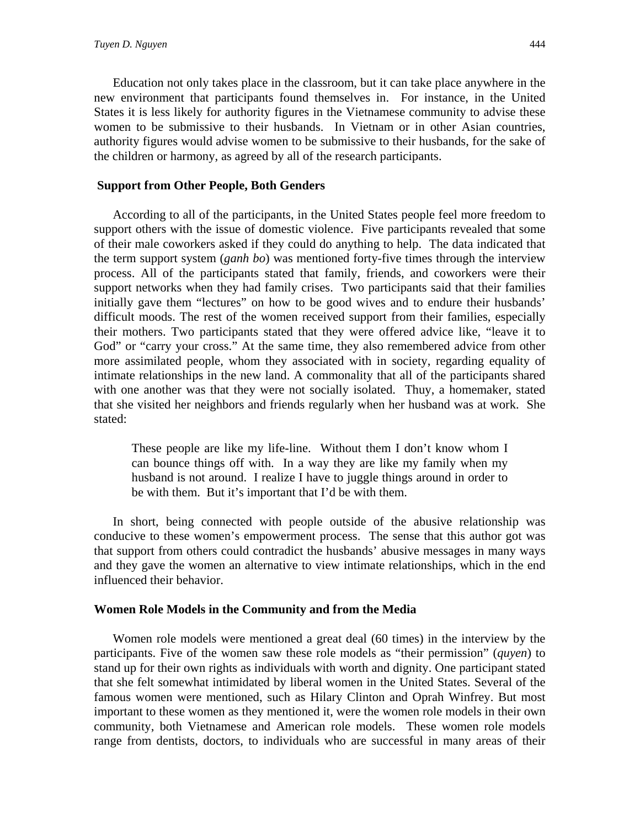Education not only takes place in the classroom, but it can take place anywhere in the new environment that participants found themselves in. For instance, in the United States it is less likely for authority figures in the Vietnamese community to advise these women to be submissive to their husbands. In Vietnam or in other Asian countries, authority figures would advise women to be submissive to their husbands, for the sake of the children or harmony, as agreed by all of the research participants.

# **Support from Other People, Both Genders**

 According to all of the participants, in the United States people feel more freedom to support others with the issue of domestic violence. Five participants revealed that some of their male coworkers asked if they could do anything to help. The data indicated that the term support system (*ganh bo*) was mentioned forty-five times through the interview process. All of the participants stated that family, friends, and coworkers were their support networks when they had family crises. Two participants said that their families initially gave them "lectures" on how to be good wives and to endure their husbands' difficult moods. The rest of the women received support from their families, especially their mothers. Two participants stated that they were offered advice like, "leave it to God" or "carry your cross." At the same time, they also remembered advice from other more assimilated people, whom they associated with in society, regarding equality of intimate relationships in the new land. A commonality that all of the participants shared with one another was that they were not socially isolated. Thuy, a homemaker, stated that she visited her neighbors and friends regularly when her husband was at work. She stated:

These people are like my life-line. Without them I don't know whom I can bounce things off with. In a way they are like my family when my husband is not around. I realize I have to juggle things around in order to be with them. But it's important that I'd be with them.

 In short, being connected with people outside of the abusive relationship was conducive to these women's empowerment process. The sense that this author got was that support from others could contradict the husbands' abusive messages in many ways and they gave the women an alternative to view intimate relationships, which in the end influenced their behavior.

#### **Women Role Models in the Community and from the Media**

 Women role models were mentioned a great deal (60 times) in the interview by the participants. Five of the women saw these role models as "their permission" (*quyen*) to stand up for their own rights as individuals with worth and dignity. One participant stated that she felt somewhat intimidated by liberal women in the United States. Several of the famous women were mentioned, such as Hilary Clinton and Oprah Winfrey. But most important to these women as they mentioned it, were the women role models in their own community, both Vietnamese and American role models. These women role models range from dentists, doctors, to individuals who are successful in many areas of their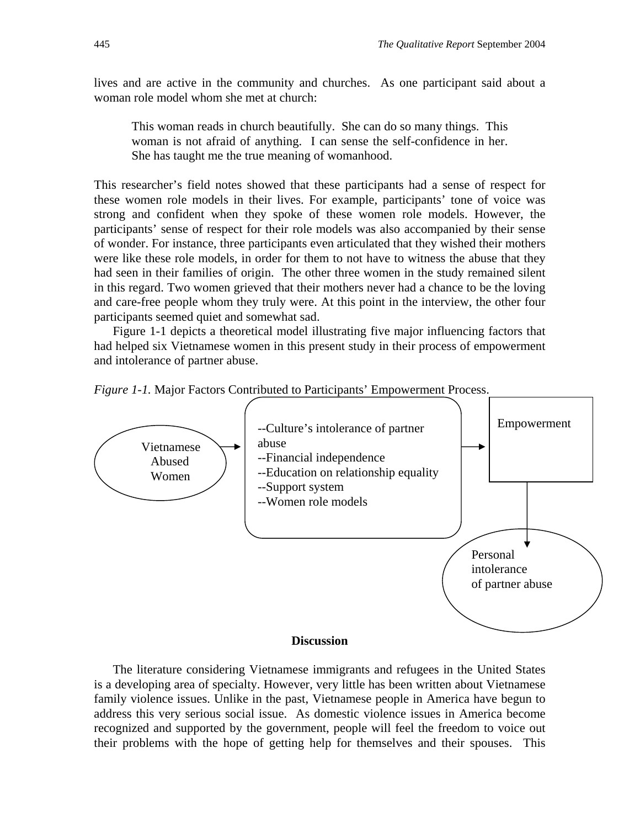lives and are active in the community and churches. As one participant said about a woman role model whom she met at church:

This woman reads in church beautifully. She can do so many things. This woman is not afraid of anything. I can sense the self-confidence in her. She has taught me the true meaning of womanhood.

This researcher's field notes showed that these participants had a sense of respect for these women role models in their lives. For example, participants' tone of voice was strong and confident when they spoke of these women role models. However, the participants' sense of respect for their role models was also accompanied by their sense of wonder. For instance, three participants even articulated that they wished their mothers were like these role models, in order for them to not have to witness the abuse that they had seen in their families of origin. The other three women in the study remained silent in this regard. Two women grieved that their mothers never had a chance to be the loving and care-free people whom they truly were. At this point in the interview, the other four participants seemed quiet and somewhat sad.

 Figure 1-1 depicts a theoretical model illustrating five major influencing factors that had helped six Vietnamese women in this present study in their process of empowerment and intolerance of partner abuse.





 The literature considering Vietnamese immigrants and refugees in the United States is a developing area of specialty. However, very little has been written about Vietnamese family violence issues. Unlike in the past, Vietnamese people in America have begun to address this very serious social issue. As domestic violence issues in America become recognized and supported by the government, people will feel the freedom to voice out their problems with the hope of getting help for themselves and their spouses. This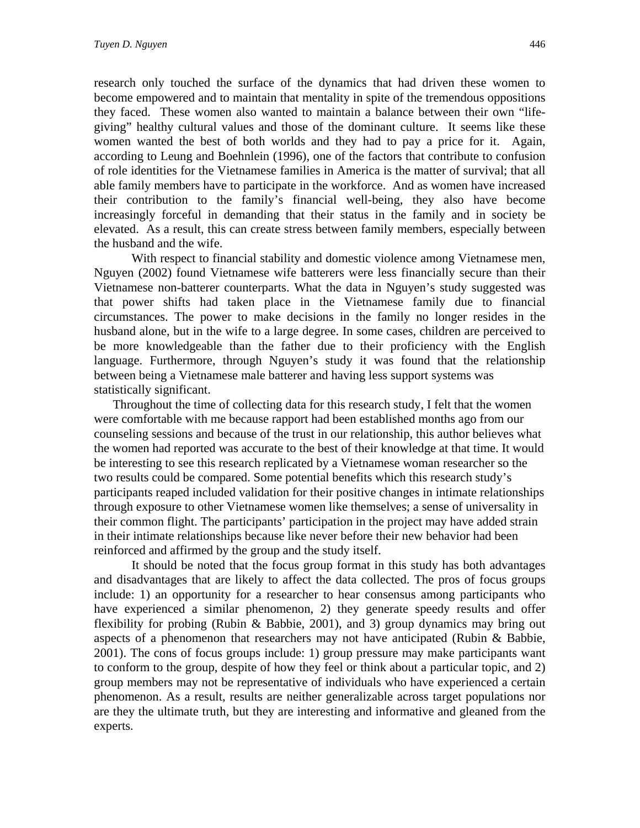research only touched the surface of the dynamics that had driven these women to become empowered and to maintain that mentality in spite of the tremendous oppositions they faced. These women also wanted to maintain a balance between their own "lifegiving" healthy cultural values and those of the dominant culture. It seems like these women wanted the best of both worlds and they had to pay a price for it. Again, according to Leung and Boehnlein (1996), one of the factors that contribute to confusion of role identities for the Vietnamese families in America is the matter of survival; that all able family members have to participate in the workforce. And as women have increased their contribution to the family's financial well-being, they also have become increasingly forceful in demanding that their status in the family and in society be elevated. As a result, this can create stress between family members, especially between the husband and the wife.

With respect to financial stability and domestic violence among Vietnamese men, Nguyen (2002) found Vietnamese wife batterers were less financially secure than their Vietnamese non-batterer counterparts. What the data in Nguyen's study suggested was that power shifts had taken place in the Vietnamese family due to financial circumstances. The power to make decisions in the family no longer resides in the husband alone, but in the wife to a large degree. In some cases, children are perceived to be more knowledgeable than the father due to their proficiency with the English language. Furthermore, through Nguyen's study it was found that the relationship between being a Vietnamese male batterer and having less support systems was statistically significant.

 Throughout the time of collecting data for this research study, I felt that the women were comfortable with me because rapport had been established months ago from our counseling sessions and because of the trust in our relationship, this author believes what the women had reported was accurate to the best of their knowledge at that time. It would be interesting to see this research replicated by a Vietnamese woman researcher so the two results could be compared. Some potential benefits which this research study's participants reaped included validation for their positive changes in intimate relationships through exposure to other Vietnamese women like themselves; a sense of universality in their common flight. The participants' participation in the project may have added strain in their intimate relationships because like never before their new behavior had been reinforced and affirmed by the group and the study itself.

It should be noted that the focus group format in this study has both advantages and disadvantages that are likely to affect the data collected. The pros of focus groups include: 1) an opportunity for a researcher to hear consensus among participants who have experienced a similar phenomenon, 2) they generate speedy results and offer flexibility for probing (Rubin & Babbie, 2001), and 3) group dynamics may bring out aspects of a phenomenon that researchers may not have anticipated (Rubin & Babbie, 2001). The cons of focus groups include: 1) group pressure may make participants want to conform to the group, despite of how they feel or think about a particular topic, and 2) group members may not be representative of individuals who have experienced a certain phenomenon. As a result, results are neither generalizable across target populations nor are they the ultimate truth, but they are interesting and informative and gleaned from the experts.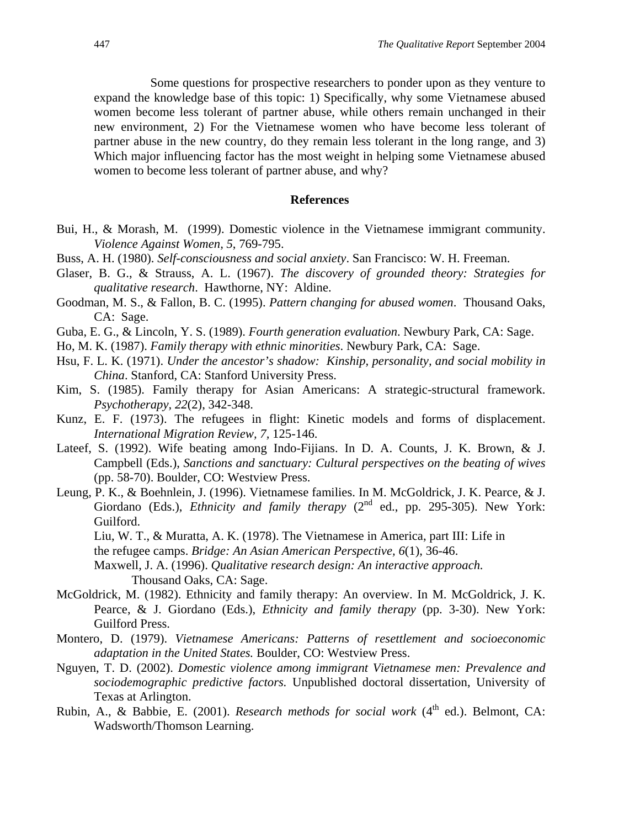Some questions for prospective researchers to ponder upon as they venture to expand the knowledge base of this topic: 1) Specifically, why some Vietnamese abused women become less tolerant of partner abuse, while others remain unchanged in their new environment, 2) For the Vietnamese women who have become less tolerant of partner abuse in the new country, do they remain less tolerant in the long range, and 3) Which major influencing factor has the most weight in helping some Vietnamese abused women to become less tolerant of partner abuse, and why?

#### **References**

- Bui, H., & Morash, M. (1999). Domestic violence in the Vietnamese immigrant community. *Violence Against Women, 5*, 769-795.
- Buss, A. H. (1980). *Self-consciousness and social anxiety*. San Francisco: W. H. Freeman.
- Glaser, B. G., & Strauss, A. L. (1967). *The discovery of grounded theory: Strategies for qualitative research*. Hawthorne, NY: Aldine.
- Goodman, M. S., & Fallon, B. C. (1995). *Pattern changing for abused women*. Thousand Oaks, CA: Sage.
- Guba, E. G., & Lincoln, Y. S. (1989). *Fourth generation evaluation*. Newbury Park, CA: Sage.
- Ho, M. K. (1987). *Family therapy with ethnic minorities*. Newbury Park, CA: Sage.
- Hsu, F. L. K. (1971). *Under the ancestor's shadow: Kinship, personality, and social mobility in China*. Stanford, CA: Stanford University Press.
- Kim, S. (1985). Family therapy for Asian Americans: A strategic-structural framework. *Psychotherapy, 22*(2), 342-348.
- Kunz, E. F. (1973). The refugees in flight: Kinetic models and forms of displacement. *International Migration Review, 7,* 125-146.
- Lateef, S. (1992). Wife beating among Indo-Fijians. In D. A. Counts, J. K. Brown, & J. Campbell (Eds.), *Sanctions and sanctuary: Cultural perspectives on the beating of wives*  (pp. 58-70). Boulder, CO: Westview Press.
- Leung, P. K., & Boehnlein, J. (1996). Vietnamese families. In M. McGoldrick, J. K. Pearce, & J. Giordano (Eds.), *Ethnicity and family therapy* (2<sup>nd</sup> ed., pp. 295-305). New York: Guilford.
	- Liu, W. T., & Muratta, A. K. (1978). The Vietnamese in America, part III: Life in the refugee camps. *Bridge: An Asian American Perspective, 6*(1), 36-46.

Maxwell, J. A. (1996). *Qualitative research design: An interactive approach.*  Thousand Oaks, CA: Sage.

- McGoldrick, M. (1982). Ethnicity and family therapy: An overview. In M. McGoldrick, J. K. Pearce, & J. Giordano (Eds.), *Ethnicity and family therapy* (pp. 3-30). New York: Guilford Press.
- Montero, D. (1979). *Vietnamese Americans: Patterns of resettlement and socioeconomic adaptation in the United States.* Boulder, CO: Westview Press.
- Nguyen, T. D. (2002). *Domestic violence among immigrant Vietnamese men: Prevalence and sociodemographic predictive factors.* Unpublished doctoral dissertation, University of Texas at Arlington.
- Rubin, A., & Babbie, E. (2001). *Research methods for social work* (4<sup>th</sup> ed.). Belmont, CA: Wadsworth/Thomson Learning.